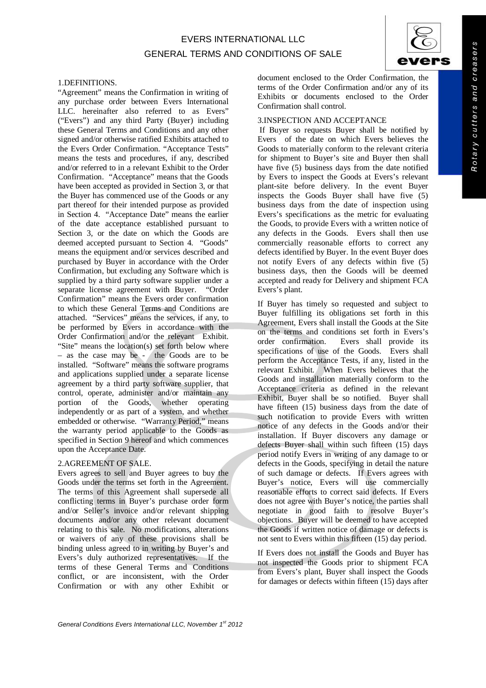## EVERS INTERNATIONAL LLC GENERAL TERMS AND CONDITIONS OF SALE



#### 1.DEFINITIONS.

"Agreement" means the Confirmation in writing of any purchase order between Evers International LLC. hereinafter also referred to as Evers" ("Evers") and any third Party (Buyer) including these General Terms and Conditions and any other signed and/or otherwise ratified Exhibits attached to the Evers Order Confirmation. "Acceptance Tests" means the tests and procedures, if any, described and/or referred to in a relevant Exhibit to the Order Confirmation. "Acceptance" means that the Goods have been accepted as provided in Section 3, or that the Buyer has commenced use of the Goods or any part thereof for their intended purpose as provided in Section 4. "Acceptance Date" means the earlier of the date acceptance established pursuant to Section 3, or the date on which the Goods are deemed accepted pursuant to Section 4. "Goods" means the equipment and/or services described and purchased by Buyer in accordance with the Order Confirmation, but excluding any Software which is supplied by a third party software supplier under a separate license agreement with Buyer. "Order separate license agreement with Buyer. Confirmation" means the Evers order confirmation to which these General Terms and Conditions are attached. "Services" means the services, if any, to be performed by Evers in accordance with the Order Confirmation and/or the relevant Exhibit. "Site" means the location(s) set forth below where – as the case may be - the Goods are to be installed. "Software" means the software programs and applications supplied under a separate license agreement by a third party software supplier, that control, operate, administer and/or maintain any portion of the Goods, whether operating independently or as part of a system, and whether embedded or otherwise. "Warranty Period," means the warranty period applicable to the Goods as specified in Section 9 hereof and which commences upon the Acceptance Date.

## 2.AGREEMENT OF SALE.

Evers agrees to sell and Buyer agrees to buy the Goods under the terms set forth in the Agreement. The terms of this Agreement shall supersede all conflicting terms in Buyer's purchase order form and/or Seller's invoice and/or relevant shipping documents and/or any other relevant document relating to this sale. No modifications, alterations or waivers of any of these provisions shall be binding unless agreed to in writing by Buyer's and Evers's duly authorized representatives. If the terms of these General Terms and Conditions conflict, or are inconsistent, with the Order Confirmation or with any other Exhibit or

document enclosed to the Order Confirmation, the terms of the Order Confirmation and/or any of its Exhibits or documents enclosed to the Order Confirmation shall control.

## 3.INSPECTION AND ACCEPTANCE

If Buyer so requests Buyer shall be notified by Evers of the date on which Evers believes the Goods to materially conform to the relevant criteria for shipment to Buyer's site and Buyer then shall have five (5) business days from the date notified by Evers to inspect the Goods at Evers's relevant plant-site before delivery. In the event Buyer inspects the Goods Buyer shall have five (5) business days from the date of inspection using Evers's specifications as the metric for evaluating the Goods, to provide Evers with a written notice of any defects in the Goods. Evers shall then use commercially reasonable efforts to correct any defects identified by Buyer. In the event Buyer does not notify Evers of any defects within five (5) business days, then the Goods will be deemed accepted and ready for Delivery and shipment FCA Evers's plant.

If Buyer has timely so requested and subject to Buyer fulfilling its obligations set forth in this Agreement, Evers shall install the Goods at the Site on the terms and conditions set forth in Evers's order confirmation. Evers shall provide its specifications of use of the Goods. Evers shall perform the Acceptance Tests, if any, listed in the relevant Exhibit. When Evers believes that the Goods and installation materially conform to the Acceptance criteria as defined in the relevant Exhibit, Buyer shall be so notified. Buyer shall have fifteen (15) business days from the date of such notification to provide Evers with written notice of any defects in the Goods and/or their installation. If Buyer discovers any damage or defects Buyer shall within such fifteen (15) days period notify Evers in writing of any damage to or defects in the Goods, specifying in detail the nature of such damage or defects. If Evers agrees with Buyer's notice, Evers will use commercially reasonable efforts to correct said defects. If Evers does not agree with Buyer's notice, the parties shall negotiate in good faith to resolve Buyer's objections. Buyer will be deemed to have accepted the Goods if written notice of damage or defects is not sent to Evers within this fifteen (15) day period.

If Evers does not install the Goods and Buyer has not inspected the Goods prior to shipment FCA from Evers's plant, Buyer shall inspect the Goods for damages or defects within fifteen (15) days after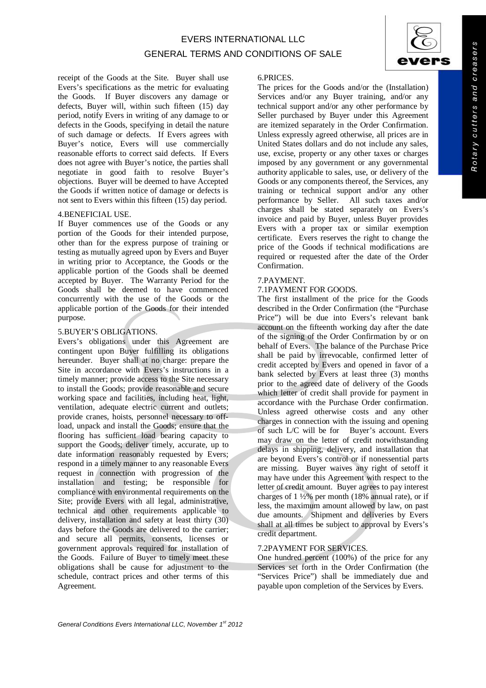receipt of the Goods at the Site. Buyer shall use Evers's specifications as the metric for evaluating the Goods. If Buyer discovers any damage or defects, Buyer will, within such fifteen (15) day period, notify Evers in writing of any damage to or defects in the Goods, specifying in detail the nature of such damage or defects. If Evers agrees with Buyer's notice, Evers will use commercially reasonable efforts to correct said defects. If Evers does not agree with Buyer's notice, the parties shall negotiate in good faith to resolve Buyer's objections. Buyer will be deemed to have Accepted the Goods if written notice of damage or defects is not sent to Evers within this fifteen (15) day period.

#### 4.BENEFICIAL USE.

If Buyer commences use of the Goods or any portion of the Goods for their intended purpose, other than for the express purpose of training or testing as mutually agreed upon by Evers and Buyer in writing prior to Acceptance, the Goods or the applicable portion of the Goods shall be deemed accepted by Buyer. The Warranty Period for the Goods shall be deemed to have commenced concurrently with the use of the Goods or the applicable portion of the Goods for their intended purpose.

#### 5.BUYER'S OBLIGATIONS.

Evers's obligations under this Agreement are contingent upon Buyer fulfilling its obligations hereunder. Buyer shall at no charge: prepare the Site in accordance with Evers's instructions in a timely manner; provide access to the Site necessary to install the Goods; provide reasonable and secure working space and facilities, including heat, light, ventilation, adequate electric current and outlets; provide cranes, hoists, personnel necessary to offload, unpack and install the Goods; ensure that the flooring has sufficient load bearing capacity to support the Goods; deliver timely, accurate, up to date information reasonably requested by Evers; respond in a timely manner to any reasonable Evers request in connection with progression of the installation and testing; be responsible for compliance with environmental requirements on the Site; provide Evers with all legal, administrative, technical and other requirements applicable to delivery, installation and safety at least thirty (30) days before the Goods are delivered to the carrier; and secure all permits, consents, licenses or government approvals required for installation of the Goods. Failure of Buyer to timely meet these obligations shall be cause for adjustment to the schedule, contract prices and other terms of this Agreement.

## 6.PRICES.

The prices for the Goods and/or the (Installation) Services and/or any Buyer training, and/or any technical support and/or any other performance by Seller purchased by Buyer under this Agreement are itemized separately in the Order Confirmation. Unless expressly agreed otherwise, all prices are in United States dollars and do not include any sales, use, excise, property or any other taxes or charges imposed by any government or any governmental authority applicable to sales, use, or delivery of the Goods or any components thereof, the Services, any training or technical support and/or any other performance by Seller. All such taxes and/or charges shall be stated separately on Evers's invoice and paid by Buyer, unless Buyer provides Evers with a proper tax or similar exemption certificate. Evers reserves the right to change the price of the Goods if technical modifications are required or requested after the date of the Order Confirmation.

#### 7.PAYMENT.

#### 7.1PAYMENT FOR GOODS.

The first installment of the price for the Goods described in the Order Confirmation (the "Purchase Price") will be due into Evers's relevant bank account on the fifteenth working day after the date of the signing of the Order Confirmation by or on behalf of Evers. The balance of the Purchase Price shall be paid by irrevocable, confirmed letter of credit accepted by Evers and opened in favor of a bank selected by Evers at least three (3) months prior to the agreed date of delivery of the Goods which letter of credit shall provide for payment in accordance with the Purchase Order confirmation. Unless agreed otherwise costs and any other charges in connection with the issuing and opening of such L/C will be for Buyer's account. Evers may draw on the letter of credit notwithstanding delays in shipping, delivery, and installation that are beyond Evers's control or if nonessential parts are missing. Buyer waives any right of setoff it may have under this Agreement with respect to the letter of credit amount. Buyer agrees to pay interest charges of  $1\frac{1}{2}\%$  per month (18% annual rate), or if less, the maximum amount allowed by law, on past due amounts. Shipment and deliveries by Evers shall at all times be subject to approval by Evers's credit department.

#### 7.2PAYMENT FOR SERVICES.

One hundred percent (100%) of the price for any Services set forth in the Order Confirmation (the "Services Price") shall be immediately due and payable upon completion of the Services by Evers.

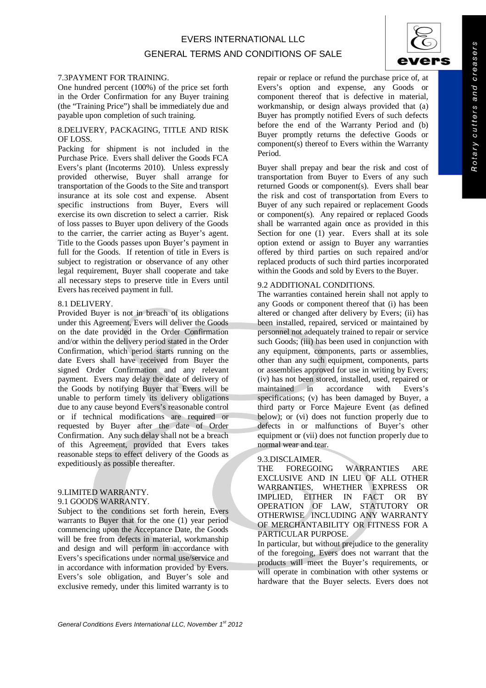#### 7.3PAYMENT FOR TRAINING.

One hundred percent (100%) of the price set forth in the Order Confirmation for any Buyer training (the "Training Price") shall be immediately due and payable upon completion of such training.

## 8.DELIVERY, PACKAGING, TITLE AND RISK OF LOSS.

Packing for shipment is not included in the Purchase Price. Evers shall deliver the Goods FCA Evers's plant (Incoterms 2010). Unless expressly provided otherwise, Buyer shall arrange for transportation of the Goods to the Site and transport insurance at its sole cost and expense. Absent specific instructions from Buyer, Evers will exercise its own discretion to select a carrier. Risk of loss passes to Buyer upon delivery of the Goods to the carrier, the carrier acting as Buyer's agent. Title to the Goods passes upon Buyer's payment in full for the Goods. If retention of title in Evers is subject to registration or observance of any other legal requirement, Buyer shall cooperate and take all necessary steps to preserve title in Evers until Evers has received payment in full.

#### 8.1 DELIVERY.

Provided Buyer is not in breach of its obligations under this Agreement, Evers will deliver the Goods on the date provided in the Order Confirmation and/or within the delivery period stated in the Order Confirmation, which period starts running on the date Evers shall have received from Buyer the signed Order Confirmation and any relevant payment. Evers may delay the date of delivery of the Goods by notifying Buyer that Evers will be unable to perform timely its delivery obligations due to any cause beyond Evers's reasonable control or if technical modifications are required or requested by Buyer after the date of Order Confirmation. Any such delay shall not be a breach of this Agreement, provided that Evers takes reasonable steps to effect delivery of the Goods as expeditiously as possible thereafter.

#### 9.LIMITED WARRANTY. 9.1 GOODS WARRANTY.

Subject to the conditions set forth herein, Evers warrants to Buyer that for the one (1) year period commencing upon the Acceptance Date, the Goods will be free from defects in material, workmanship and design and will perform in accordance with Evers's specifications under normal use/service and in accordance with information provided by Evers. Evers's sole obligation, and Buyer's sole and exclusive remedy, under this limited warranty is to

repair or replace or refund the purchase price of, at Evers's option and expense, any Goods or component thereof that is defective in material, workmanship, or design always provided that (a) Buyer has promptly notified Evers of such defects before the end of the Warranty Period and (b) Buyer promptly returns the defective Goods or component(s) thereof to Evers within the Warranty Period.

Buyer shall prepay and bear the risk and cost of transportation from Buyer to Evers of any such returned Goods or component(s). Evers shall bear the risk and cost of transportation from Evers to Buyer of any such repaired or replacement Goods or component(s). Any repaired or replaced Goods shall be warranted again once as provided in this Section for one (1) year. Evers shall at its sole option extend or assign to Buyer any warranties offered by third parties on such repaired and/or replaced products of such third parties incorporated within the Goods and sold by Evers to the Buyer.

## 9.2 ADDITIONAL CONDITIONS.

The warranties contained herein shall not apply to any Goods or component thereof that (i) has been altered or changed after delivery by Evers; (ii) has been installed, repaired, serviced or maintained by personnel not adequately trained to repair or service such Goods; (iii) has been used in conjunction with any equipment, components, parts or assemblies, other than any such equipment, components, parts or assemblies approved for use in writing by Evers; (iv) has not been stored, installed, used, repaired or maintained in accordance with Evers's specifications; (v) has been damaged by Buyer, a third party or Force Majeure Event (as defined below); or (vi) does not function properly due to defects in or malfunctions of Buyer's other equipment or (vii) does not function properly due to normal wear and tear.

# 9.3.DISCLAIMER.<br>THE FOREGOIL

FOREGOING WARRANTIES ARE EXCLUSIVE AND IN LIEU OF ALL OTHER WARRANTIES, WHETHER EXPRESS OR EITHER IN FACT OR OPERATION OF LAW, STATUTORY OR OTHERWISE INCLUDING ANY WARRANTY OF MERCHANTABILITY OR FITNESS FOR A PARTICULAR PURPOSE.

In particular, but without prejudice to the generality of the foregoing, Evers does not warrant that the products will meet the Buyer's requirements, or will operate in combination with other systems or hardware that the Buyer selects. Evers does not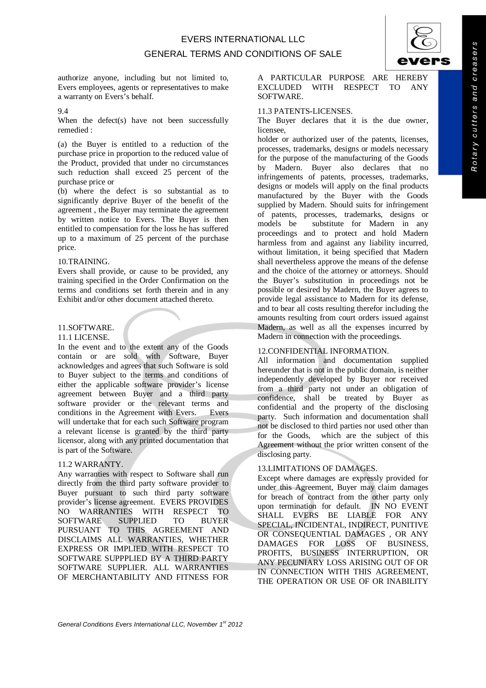## EVERS INTERNATIONAL LLC GENERAL TERMS AND CONDITIONS OF SALE



authorize anyone, including but not limited to, Evers employees, agents or representatives to make a warranty on Evers's behalf.

#### 9.4

When the defect(s) have not been successfully remedied :

(a) the Buyer is entitled to a reduction of the purchase price in proportion to the reduced value of the Product, provided that under no circumstances such reduction shall exceed 25 percent of the purchase price or

(b) where the defect is so substantial as to significantly deprive Buyer of the benefit of the agreement , the Buyer may terminate the agreement by written notice to Evers. The Buyer is then entitled to compensation for the loss he has suffered up to a maximum of 25 percent of the purchase price.

#### 10.TRAINING.

Evers shall provide, or cause to be provided, any training specified in the Order Confirmation on the terms and conditions set forth therein and in any Exhibit and/or other document attached thereto.

## 11.SOFTWARE.

#### 11.1 LICENSE.

In the event and to the extent any of the Goods contain or are sold with Software, Buyer acknowledges and agrees that such Software is sold to Buyer subject to the terms and conditions of either the applicable software provider's license agreement between Buyer and a third party software provider or the relevant terms and conditions in the Agreement with Evers. Evers will undertake that for each such Software program a relevant license is granted by the third party licensor, along with any printed documentation that is part of the Software.

## 11.2 WARRANTY.

Any warranties with respect to Software shall run directly from the third party software provider to Buyer pursuant to such third party software provider's license agreement. EVERS PROVIDES NO WARRANTIES WITH RESPECT TO SOFTWARE SUPPLIED TO BUYER PURSUANT TO THIS AGREEMENT AND DISCLAIMS ALL WARRANTIES, WHETHER EXPRESS OR IMPLIED WITH RESPECT TO SOFTWARE SUPPPLIED BY A THIRD PARTY SOFTWARE SUPPLIER. ALL WARRANTIES OF MERCHANTABILITY AND FITNESS FOR

A PARTICULAR PURPOSE ARE HEREBY EXCLUDED WITH RESPECT TO ANY SOFTWARE.

## 11.3 PATENTS-LICENSES.

The Buyer declares that it is the due owner, licensee,

holder or authorized user of the patents, licenses, processes, trademarks, designs or models necessary for the purpose of the manufacturing of the Goods by Madern. Buyer also declares that no infringements of patents, processes, trademarks, designs or models will apply on the final products manufactured by the Buyer with the Goods supplied by Madern. Should suits for infringement of patents, processes, trademarks, designs or substitute for Madern in any proceedings and to protect and hold Madern harmless from and against any liability incurred, without limitation, it being specified that Madern shall nevertheless approve the means of the defense and the choice of the attorney or attorneys. Should the Buyer's substitution in proceedings not be possible or desired by Madern, the Buyer agrees to provide legal assistance to Madern for its defense, and to bear all costs resulting therefor including the amounts resulting from court orders issued against Madern, as well as all the expenses incurred by Madern in connection with the proceedings.

## 12.CONFIDENTIAL INFORMATION.

All information and documentation supplied hereunder that is not in the public domain, is neither independently developed by Buyer nor received from a third party not under an obligation of confidence, shall be treated by Buyer as confidential and the property of the disclosing party. Such information and documentation shall not be disclosed to third parties nor used other than for the Goods, which are the subject of this Agreement without the prior written consent of the disclosing party.

## 13.LIMITATIONS OF DAMAGES.

Except where damages are expressly provided for under this Agreement, Buyer may claim damages for breach of contract from the other party only upon termination for default. IN NO EVENT SHALL EVERS BE LIABLE FOR ANY SPECIAL, INCIDENTAL, INDIRECT, PUNITIVE OR CONSEQUENTIAL DAMAGES , OR ANY DAMAGES FOR LOSS OF BUSINESS, PROFITS, BUSINESS INTERRUPTION, OR ANY PECUNIARY LOSS ARISING OUT OF OR IN CONNECTION WITH THIS AGREEMENT, THE OPERATION OR USE OF OR INABILITY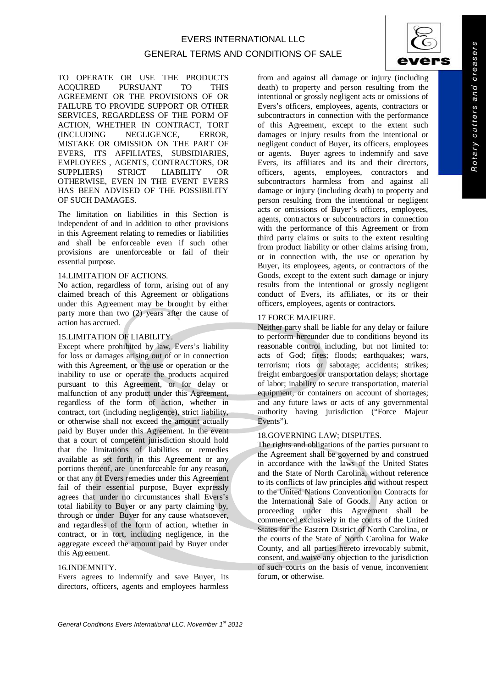## GENERAL TERMS AND CONDITIONS OF SALE

TO OPERATE OR USE THE PRODUCTS ACQUIRED PURSUANT TO THIS AGREEMENT OR THE PROVISIONS OF OR FAILURE TO PROVIDE SUPPORT OR OTHER SERVICES, REGARDLESS OF THE FORM OF ACTION, WHETHER IN CONTRACT, TORT (INCLUDING NEGLIGENCE, ERROR, MISTAKE OR OMISSION ON THE PART OF EVERS, ITS AFFILIATES, SUBSIDIARIES, EMPLOYEES , AGENTS, CONTRACTORS, OR SUPPLIERS) STRICT LIABILITY OR OTHERWISE, EVEN IN THE EVENT EVERS HAS BEEN ADVISED OF THE POSSIBILITY OF SUCH DAMAGES.

The limitation on liabilities in this Section is independent of and in addition to other provisions in this Agreement relating to remedies or liabilities and shall be enforceable even if such other provisions are unenforceable or fail of their essential purpose.

## 14.LIMITATION OF ACTIONS.

No action, regardless of form, arising out of any claimed breach of this Agreement or obligations under this Agreement may be brought by either party more than two (2) years after the cause of action has accrued.

#### 15.LIMITATION OF LIABILITY.

Except where prohibited by law, Evers's liability for loss or damages arising out of or in connection with this Agreement, or the use or operation or the inability to use or operate the products acquired pursuant to this Agreement, or for delay or malfunction of any product under this Agreement, regardless of the form of action, whether in contract, tort (including negligence), strict liability, or otherwise shall not exceed the amount actually paid by Buyer under this Agreement. In the event that a court of competent jurisdiction should hold that the limitations of liabilities or remedies available as set forth in this Agreement or any portions thereof, are unenforceable for any reason, or that any of Evers remedies under this Agreement fail of their essential purpose, Buyer expressly agrees that under no circumstances shall Evers's total liability to Buyer or any party claiming by, through or under Buyer for any cause whatsoever, and regardless of the form of action, whether in contract, or in tort, including negligence, in the aggregate exceed the amount paid by Buyer under this Agreement.

## 16.INDEMNITY.

Evers agrees to indemnify and save Buyer, its directors, officers, agents and employees harmless from and against all damage or injury (including death) to property and person resulting from the intentional or grossly negligent acts or omissions of Evers's officers, employees, agents, contractors or subcontractors in connection with the performance of this Agreement, except to the extent such damages or injury results from the intentional or negligent conduct of Buyer, its officers, employees or agents. Buyer agrees to indemnify and save Evers, its affiliates and its and their directors, officers, agents, employees, contractors and subcontractors harmless from and against all damage or injury (including death) to property and person resulting from the intentional or negligent acts or omissions of Buyer's officers, employees, agents, contractors or subcontractors in connection with the performance of this Agreement or from third party claims or suits to the extent resulting from product liability or other claims arising from, or in connection with, the use or operation by Buyer, its employees, agents, or contractors of the Goods, except to the extent such damage or injury results from the intentional or grossly negligent conduct of Evers, its affiliates, or its or their officers, employees, agents or contractors.

#### 17 FORCE MAJEURE.

Neither party shall be liable for any delay or failure to perform hereunder due to conditions beyond its reasonable control including, but not limited to: acts of God; fires; floods; earthquakes; wars, terrorism; riots or sabotage; accidents; strikes; freight embargoes or transportation delays; shortage of labor; inability to secure transportation, material equipment, or containers on account of shortages; and any future laws or acts of any governmental authority having jurisdiction ("Force Majeur Events").

#### 18.GOVERNING LAW; DISPUTES.

The rights and obligations of the parties pursuant to the Agreement shall be governed by and construed in accordance with the laws of the United States and the State of North Carolina, without reference to its conflicts of law principles and without respect to the United Nations Convention on Contracts for the International Sale of Goods. Any action or proceeding under this Agreement shall be commenced exclusively in the courts of the United States for the Eastern District of North Carolina, or the courts of the State of North Carolina for Wake County, and all parties hereto irrevocably submit, consent, and waive any objection to the jurisdiction of such courts on the basis of venue, inconvenient forum, or otherwise.